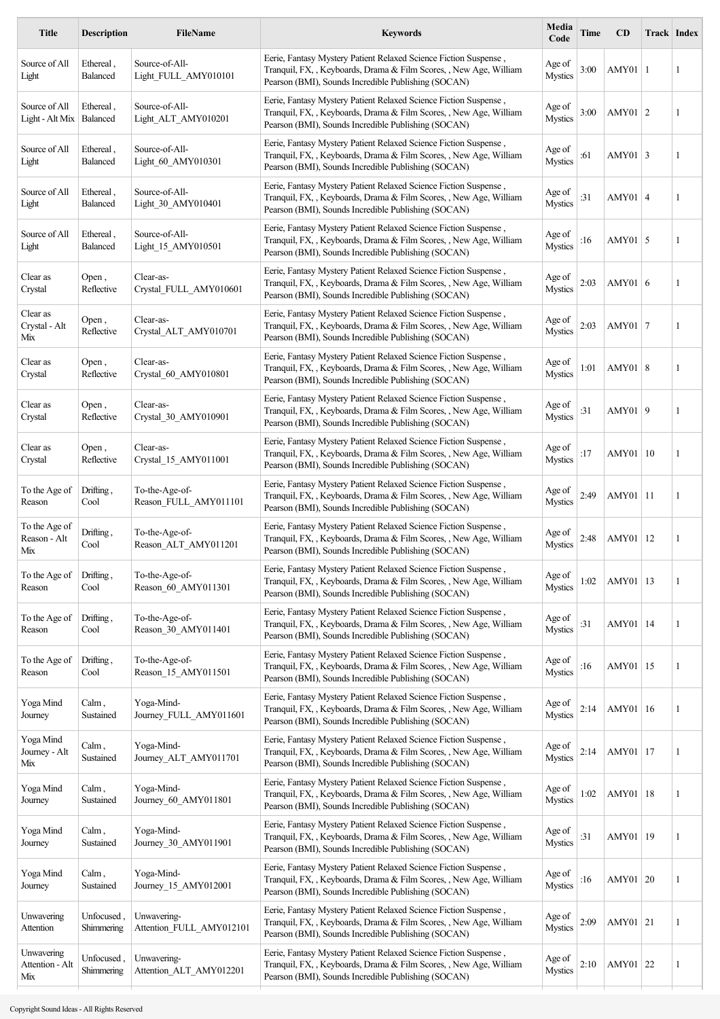| <b>Title</b>                         | <b>Description</b>       | <b>FileName</b>                         | <b>Keywords</b>                                                                                                                                                                               | Media<br>Code            | Time | CD              |     | Track Index |
|--------------------------------------|--------------------------|-----------------------------------------|-----------------------------------------------------------------------------------------------------------------------------------------------------------------------------------------------|--------------------------|------|-----------------|-----|-------------|
| Source of All<br>Light               | Ethereal,<br>Balanced    | Source-of-All-<br>Light FULL AMY010101  | Eerie, Fantasy Mystery Patient Relaxed Science Fiction Suspense,<br>Tranquil, FX, , Keyboards, Drama & Film Scores, , New Age, William<br>Pearson (BMI), Sounds Incredible Publishing (SOCAN) | Age of<br><b>Mystics</b> | 3:00 | $AMY01$   1     |     | 1           |
| Source of All<br>Light - Alt Mix     | Ethereal,<br>Balanced    | Source-of-All-<br>Light ALT AMY010201   | Eerie, Fantasy Mystery Patient Relaxed Science Fiction Suspense,<br>Tranquil, FX, , Keyboards, Drama & Film Scores, , New Age, William<br>Pearson (BMI), Sounds Incredible Publishing (SOCAN) | Age of<br><b>Mystics</b> | 3:00 | AMY01 $ 2$      |     | 1           |
| Source of All<br>Light               | Ethereal,<br>Balanced    | Source-of-All-<br>Light 60 AMY010301    | Eerie, Fantasy Mystery Patient Relaxed Science Fiction Suspense,<br>Tranquil, FX, , Keyboards, Drama & Film Scores, , New Age, William<br>Pearson (BMI), Sounds Incredible Publishing (SOCAN) | Age of<br><b>Mystics</b> | :61  | AMY01 3         |     | 1           |
| Source of All<br>Light               | Ethereal,<br>Balanced    | Source-of-All-<br>Light 30 AMY010401    | Eerie, Fantasy Mystery Patient Relaxed Science Fiction Suspense,<br>Tranquil, FX, , Keyboards, Drama & Film Scores, , New Age, William<br>Pearson (BMI), Sounds Incredible Publishing (SOCAN) | Age of<br><b>Mystics</b> | :31  | $AMY01$ 4       |     | 1           |
| Source of All<br>Light               | Ethereal,<br>Balanced    | Source-of-All-<br>Light 15 AMY010501    | Eerie, Fantasy Mystery Patient Relaxed Science Fiction Suspense,<br>Tranquil, FX, , Keyboards, Drama & Film Scores, , New Age, William<br>Pearson (BMI), Sounds Incredible Publishing (SOCAN) | Age of<br>Mystics        | :16  | AMY01 $\vert$ 5 |     | 1           |
| Clear as<br>Crystal                  | Open,<br>Reflective      | Clear-as-<br>Crystal_FULL_AMY010601     | Eerie, Fantasy Mystery Patient Relaxed Science Fiction Suspense,<br>Tranquil, FX, , Keyboards, Drama & Film Scores, , New Age, William<br>Pearson (BMI), Sounds Incredible Publishing (SOCAN) | Age of<br><b>Mystics</b> | 2:03 | AMY01 $\vert$ 6 |     | 1           |
| Clear as<br>Crystal - Alt<br>Mix     | Open,<br>Reflective      | Clear-as-<br>Crystal_ALT_AMY010701      | Eerie, Fantasy Mystery Patient Relaxed Science Fiction Suspense,<br>Tranquil, FX, , Keyboards, Drama & Film Scores, , New Age, William<br>Pearson (BMI), Sounds Incredible Publishing (SOCAN) | Age of<br><b>Mystics</b> | 2:03 | AMY01 $ 7$      |     | 1           |
| Clear as<br>Crystal                  | Open,<br>Reflective      | Clear-as-<br>Crystal 60 AMY010801       | Eerie, Fantasy Mystery Patient Relaxed Science Fiction Suspense,<br>Tranquil, FX, , Keyboards, Drama & Film Scores, , New Age, William<br>Pearson (BMI), Sounds Incredible Publishing (SOCAN) | Age of<br><b>Mystics</b> | 1:01 | AMY01   8       |     | 1           |
| Clear as<br>Crystal                  | Open,<br>Reflective      | Clear-as-<br>Crystal 30 AMY010901       | Eerie, Fantasy Mystery Patient Relaxed Science Fiction Suspense,<br>Tranquil, FX, , Keyboards, Drama & Film Scores, , New Age, William<br>Pearson (BMI), Sounds Incredible Publishing (SOCAN) | Age of<br><b>Mystics</b> | :31  | AMY01   9       |     | 1           |
| Clear as<br>Crystal                  | Open,<br>Reflective      | Clear-as-<br>Crystal 15 AMY011001       | Eerie, Fantasy Mystery Patient Relaxed Science Fiction Suspense,<br>Tranquil, FX, , Keyboards, Drama & Film Scores, , New Age, William<br>Pearson (BMI), Sounds Incredible Publishing (SOCAN) | Age of<br><b>Mystics</b> | :17  | AMY01           | -10 | 1           |
| To the Age of<br>Reason              | Drifting,<br>Cool        | To-the-Age-of-<br>Reason FULL AMY011101 | Eerie, Fantasy Mystery Patient Relaxed Science Fiction Suspense,<br>Tranquil, FX, , Keyboards, Drama & Film Scores, , New Age, William<br>Pearson (BMI), Sounds Incredible Publishing (SOCAN) | Age of<br><b>Mystics</b> | 2:49 | AMY01           | 11  | 1           |
| To the Age of<br>Reason - Alt<br>Mix | Drifting,<br>Cool        | To-the-Age-of-<br>Reason_ALT_AMY011201  | Eerie, Fantasy Mystery Patient Relaxed Science Fiction Suspense,<br>Tranquil, FX, , Keyboards, Drama & Film Scores, , New Age, William<br>Pearson (BMI), Sounds Incredible Publishing (SOCAN) | Age of<br>Mystics        | 2:48 | AMY01           | 12  | 1           |
| To the Age of<br>Reason              | Drifting,<br>Cool        | To-the-Age-of-<br>Reason_60_AMY011301   | Eerie, Fantasy Mystery Patient Relaxed Science Fiction Suspense,<br>Tranquil, FX, , Keyboards, Drama & Film Scores, , New Age, William<br>Pearson (BMI), Sounds Incredible Publishing (SOCAN) | Age of<br><b>Mystics</b> | 1:02 | AMY01           | 13  | 1           |
| To the Age of<br>Reason              | Drifting,<br>Cool        | To-the-Age-of-<br>Reason_30_AMY011401   | Eerie, Fantasy Mystery Patient Relaxed Science Fiction Suspense,<br>Tranquil, FX, , Keyboards, Drama & Film Scores, , New Age, William<br>Pearson (BMI), Sounds Incredible Publishing (SOCAN) | Age of<br><b>Mystics</b> | :31  | AMY01           | 14  | 1           |
| To the Age of<br>Reason              | Drifting,<br>Cool        | To-the-Age-of-<br>Reason 15 AMY011501   | Eerie, Fantasy Mystery Patient Relaxed Science Fiction Suspense,<br>Tranquil, FX, , Keyboards, Drama & Film Scores, , New Age, William<br>Pearson (BMI), Sounds Incredible Publishing (SOCAN) | Age of<br><b>Mystics</b> | :16  | AMY01           | 15  | 1           |
| Yoga Mind<br>Journey                 | Calm,<br>Sustained       | Yoga-Mind-<br>Journey_FULL_AMY011601    | Eerie, Fantasy Mystery Patient Relaxed Science Fiction Suspense,<br>Tranquil, FX, , Keyboards, Drama & Film Scores, , New Age, William<br>Pearson (BMI), Sounds Incredible Publishing (SOCAN) | Age of<br><b>Mystics</b> | 2:14 | AMY01           | 16  | 1           |
| Yoga Mind<br>Journey - Alt<br>Mix    | $Calm$ ,<br>Sustained    | Yoga-Mind-<br>Journey_ALT_AMY011701     | Eerie, Fantasy Mystery Patient Relaxed Science Fiction Suspense,<br>Tranquil, FX, , Keyboards, Drama & Film Scores, , New Age, William<br>Pearson (BMI), Sounds Incredible Publishing (SOCAN) | Age of<br><b>Mystics</b> | 2:14 | AMY01           | 17  | 1           |
| Yoga Mind<br>Journey                 | $Calm$ ,<br>Sustained    | Yoga-Mind-<br>Journey 60 AMY011801      | Eerie, Fantasy Mystery Patient Relaxed Science Fiction Suspense,<br>Tranquil, FX, , Keyboards, Drama & Film Scores, , New Age, William<br>Pearson (BMI), Sounds Incredible Publishing (SOCAN) | Age of<br><b>Mystics</b> | 1:02 | AMY01           | 18  | 1           |
| Yoga Mind<br>Journey                 | Calm,<br>Sustained       | Yoga-Mind-<br>Journey 30 AMY011901      | Eerie, Fantasy Mystery Patient Relaxed Science Fiction Suspense,<br>Tranquil, FX, , Keyboards, Drama & Film Scores, , New Age, William<br>Pearson (BMI), Sounds Incredible Publishing (SOCAN) | Age of<br><b>Mystics</b> | :31  | AMY01           | 19  | 1           |
| Yoga Mind<br>Journey                 | Calm,<br>Sustained       | Yoga-Mind-<br>Journey_15_AMY012001      | Eerie, Fantasy Mystery Patient Relaxed Science Fiction Suspense,<br>Tranquil, FX, , Keyboards, Drama & Film Scores, , New Age, William<br>Pearson (BMI), Sounds Incredible Publishing (SOCAN) | Age of<br><b>Mystics</b> | :16  | AMY01 20        |     | 1           |
| Unwavering<br>Attention              | Unfocused<br>Shimmering  | Unwavering-<br>Attention FULL AMY012101 | Eerie, Fantasy Mystery Patient Relaxed Science Fiction Suspense,<br>Tranquil, FX, , Keyboards, Drama & Film Scores, , New Age, William<br>Pearson (BMI), Sounds Incredible Publishing (SOCAN) | Age of<br><b>Mystics</b> | 2:09 | AMY01   21      |     | 1           |
| Unwavering<br>Attention - Alt<br>Mix | Unfocused,<br>Shimmering | Unwavering-<br>Attention_ALT_AMY012201  | Eerie, Fantasy Mystery Patient Relaxed Science Fiction Suspense,<br>Tranquil, FX, , Keyboards, Drama & Film Scores, , New Age, William<br>Pearson (BMI), Sounds Incredible Publishing (SOCAN) | Age of<br><b>Mystics</b> | 2:10 | AMY01 22        |     | 1           |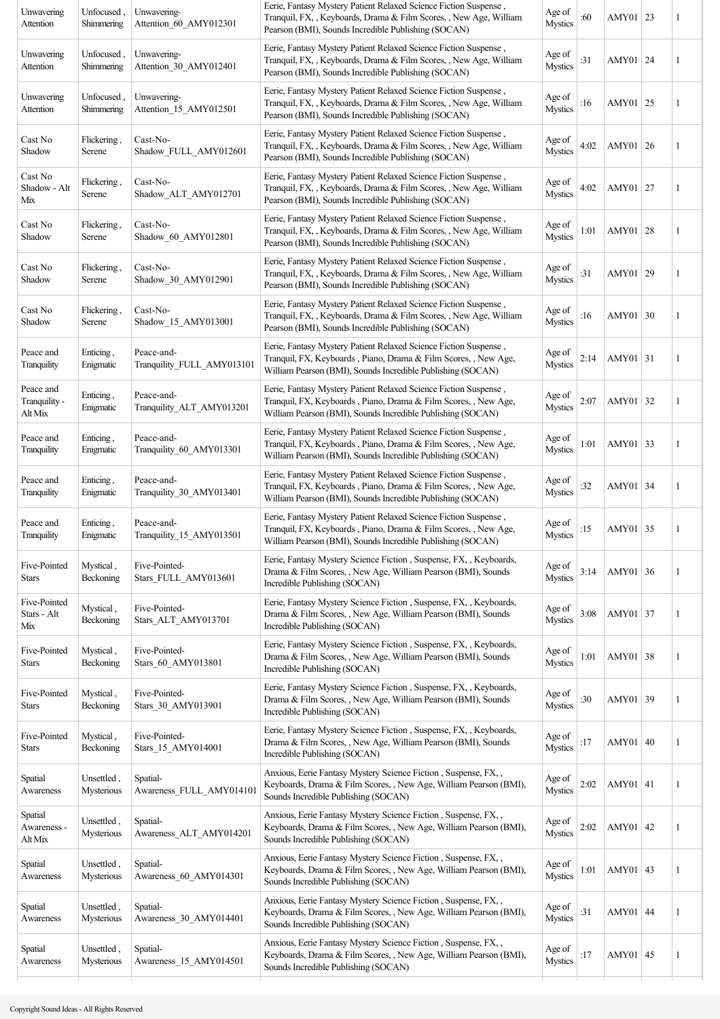| Unwavering<br>Attention               | Unfocused,<br>Shimmering | Unwavering-<br>Attention_60_AMY012301    | Eerie, Fantasy Mystery Patient Relaxed Science Fiction Suspense,<br>Tranquil, FX, , Keyboards, Drama & Film Scores, , New Age, William<br>Pearson (BMI), Sounds Incredible Publishing (SOCAN)      | Age of<br><b>Mystics</b> | :60  | AMY01   23  | 1 |
|---------------------------------------|--------------------------|------------------------------------------|----------------------------------------------------------------------------------------------------------------------------------------------------------------------------------------------------|--------------------------|------|-------------|---|
| Unwavering<br>Attention               | Unfocused,<br>Shimmering | Unwavering-<br>Attention 30 AMY012401    | Eerie, Fantasy Mystery Patient Relaxed Science Fiction Suspense,<br>Tranquil, FX, , Keyboards, Drama & Film Scores, , New Age, William<br>Pearson (BMI), Sounds Incredible Publishing (SOCAN)      | Age of<br><b>Mystics</b> | :31  | AMY01 24    | 1 |
| Unwavering<br>Attention               | Unfocused,<br>Shimmering | Unwavering-<br>Attention_15_AMY012501    | Eerie, Fantasy Mystery Patient Relaxed Science Fiction Suspense,<br>Tranquil, FX, , Keyboards, Drama & Film Scores, , New Age, William<br>Pearson (BMI), Sounds Incredible Publishing (SOCAN)      | Age of<br><b>Mystics</b> | :16  | AMY01 25    | 1 |
| Cast No<br>Shadow                     | Flickering,<br>Serene    | Cast-No-<br>Shadow_FULL_AMY012601        | Eerie, Fantasy Mystery Patient Relaxed Science Fiction Suspense,<br>Tranquil, FX, , Keyboards, Drama & Film Scores, , New Age, William<br>Pearson (BMI), Sounds Incredible Publishing (SOCAN)      | Age of<br><b>Mystics</b> | 4:02 | AMY01 26    | 1 |
| Cast No<br>Shadow - Alt<br>Mix        | Flickering,<br>Serene    | Cast-No-<br>Shadow_ALT_AMY012701         | Eerie, Fantasy Mystery Patient Relaxed Science Fiction Suspense,<br>Tranquil, FX, , Keyboards, Drama & Film Scores, , New Age, William<br>Pearson (BMI), Sounds Incredible Publishing (SOCAN)      | Age of<br><b>Mystics</b> | 4:02 | AMY01 27    | 1 |
| Cast No<br>Shadow                     | Flickering,<br>Serene    | Cast-No-<br>Shadow 60 AMY012801          | Eerie, Fantasy Mystery Patient Relaxed Science Fiction Suspense,<br>Tranquil, FX, , Keyboards, Drama & Film Scores, , New Age, William<br>Pearson (BMI), Sounds Incredible Publishing (SOCAN)      | Age of<br><b>Mystics</b> | 1:01 | AMY01 28    | 1 |
| Cast No<br>Shadow                     | Flickering,<br>Serene    | Cast-No-<br>Shadow_30_AMY012901          | Eerie, Fantasy Mystery Patient Relaxed Science Fiction Suspense,<br>Tranquil, FX, , Keyboards, Drama & Film Scores, , New Age, William<br>Pearson (BMI), Sounds Incredible Publishing (SOCAN)      | Age of<br><b>Mystics</b> | :31  | AMY01 29    | 1 |
| Cast No<br>Shadow                     | Flickering.<br>Serene    | Cast-No-<br>Shadow_15_AMY013001          | Eerie, Fantasy Mystery Patient Relaxed Science Fiction Suspense,<br>Tranquil, FX, , Keyboards, Drama & Film Scores, , New Age, William<br>Pearson (BMI), Sounds Incredible Publishing (SOCAN)      | Age of<br><b>Mystics</b> | :16  | AMY01 30    | 1 |
| Peace and<br>Tranquility              | Enticing,<br>Enigmatic   | Peace-and-<br>Tranquility_FULL_AMY013101 | Eerie, Fantasy Mystery Patient Relaxed Science Fiction Suspense,<br>Tranquil, FX, Keyboards, Piano, Drama & Film Scores, , New Age,<br>William Pearson (BMI), Sounds Incredible Publishing (SOCAN) | Age of<br><b>Mystics</b> | 2:14 | AMY01 31    | 1 |
| Peace and<br>Tranquility -<br>Alt Mix | Enticing,<br>Enigmatic   | Peace-and-<br>Tranquility_ALT_AMY013201  | Eerie, Fantasy Mystery Patient Relaxed Science Fiction Suspense,<br>Tranquil, FX, Keyboards, Piano, Drama & Film Scores, , New Age,<br>William Pearson (BMI), Sounds Incredible Publishing (SOCAN) | Age of<br><b>Mystics</b> | 2:07 | AMY01 32    | 1 |
| Peace and<br>Tranquility              | Enticing,<br>Enigmatic   | Peace-and-<br>Tranquility_60_AMY013301   | Eerie, Fantasy Mystery Patient Relaxed Science Fiction Suspense,<br>Tranquil, FX, Keyboards, Piano, Drama & Film Scores, , New Age,<br>William Pearson (BMI), Sounds Incredible Publishing (SOCAN) | Age of<br><b>Mystics</b> | 1:01 | AMY01 33    | 1 |
| Peace and<br>Tranquility              | Enticing,<br>Enigmatic   | Peace-and-<br>Tranquility 30 AMY013401   | Eerie, Fantasy Mystery Patient Relaxed Science Fiction Suspense,<br>Tranquil, FX, Keyboards, Piano, Drama & Film Scores, , New Age,<br>William Pearson (BMI), Sounds Incredible Publishing (SOCAN) | Age of<br><b>Mystics</b> | :32  | AMY01 34    | 1 |
| Peace and<br>Tranquility              | Enticing,<br>Enigmatic   | Peace-and-<br>Tranquility 15 AMY013501   | Eerie, Fantasy Mystery Patient Relaxed Science Fiction Suspense,<br>Tranquil, FX, Keyboards, Piano, Drama & Film Scores, , New Age,<br>William Pearson (BMI), Sounds Incredible Publishing (SOCAN) | Age of<br><b>Mystics</b> | :15  | AMY01 35    | 1 |
| Five-Pointed<br><b>Stars</b>          | Mystical,<br>Beckoning   | Five-Pointed-<br>Stars_FULL_AMY013601    | Eerie, Fantasy Mystery Science Fiction, Suspense, FX, , Keyboards,<br>Drama & Film Scores, , New Age, William Pearson (BMI), Sounds<br>Incredible Publishing (SOCAN)                               | Age of<br><b>Mystics</b> | 3:14 | AMY01 36    | 1 |
| Five-Pointed<br>Stars - Alt<br>Mix    | Mystical,<br>Beckoning   | Five-Pointed-<br>Stars_ALT_AMY013701     | Eerie, Fantasy Mystery Science Fiction, Suspense, FX, , Keyboards,<br>Drama & Film Scores, , New Age, William Pearson (BMI), Sounds<br>Incredible Publishing (SOCAN)                               | Age of<br><b>Mystics</b> | 3:08 | AMY01 37    | 1 |
| Five-Pointed<br>Stars                 | Mystical,<br>Beckoning   | Five-Pointed-<br>Stars 60 AMY013801      | Eerie, Fantasy Mystery Science Fiction, Suspense, FX, , Keyboards,<br>Drama & Film Scores, , New Age, William Pearson (BMI), Sounds<br>Incredible Publishing (SOCAN)                               | Age of<br><b>Mystics</b> | 1:01 | AMY01 38    | 1 |
| Five-Pointed<br>Stars                 | Mystical,<br>Beckoning   | Five-Pointed-<br>Stars_30_AMY013901      | Eerie, Fantasy Mystery Science Fiction, Suspense, FX, , Keyboards,<br>Drama & Film Scores, , New Age, William Pearson (BMI), Sounds<br>Incredible Publishing (SOCAN)                               | Age of<br><b>Mystics</b> | :30  | AMY01 39    | 1 |
| Five-Pointed<br>Stars                 | Mystical,<br>Beckoning   | Five-Pointed-<br>Stars 15 AMY014001      | Eerie, Fantasy Mystery Science Fiction, Suspense, FX, , Keyboards,<br>Drama & Film Scores, , New Age, William Pearson (BMI), Sounds<br>Incredible Publishing (SOCAN)                               | Age of<br><b>Mystics</b> | :17  | AMY01 40    | 1 |
| Spatial<br>Awareness                  | Unsettled,<br>Mysterious | Spatial-<br>Awareness_FULL_AMY014101     | Anxious, Eerie Fantasy Mystery Science Fiction, Suspense, FX,,<br>Keyboards, Drama & Film Scores, , New Age, William Pearson (BMI),<br>Sounds Incredible Publishing (SOCAN)                        | Age of<br><b>Mystics</b> | 2:02 | AMY01 41    | 1 |
| Spatial<br>Awareness -<br>Alt Mix     | Unsettled,<br>Mysterious | Spatial-<br>Awareness ALT AMY014201      | Anxious, Eerie Fantasy Mystery Science Fiction, Suspense, FX,,<br>Keyboards, Drama & Film Scores, , New Age, William Pearson (BMI),<br>Sounds Incredible Publishing (SOCAN)                        | Age of<br><b>Mystics</b> | 2:02 | AMY01 $ 42$ | 1 |
| Spatial<br>Awareness                  | Unsettled,<br>Mysterious | Spatial-<br>Awareness 60 AMY014301       | Anxious, Eerie Fantasy Mystery Science Fiction, Suspense, FX,,<br>Keyboards, Drama & Film Scores, , New Age, William Pearson (BMI),<br>Sounds Incredible Publishing (SOCAN)                        | Age of<br><b>Mystics</b> | 1:01 | AMY01 43    | 1 |
| Spatial<br>Awareness                  | Unsettled,<br>Mysterious | Spatial-<br>Awareness 30 AMY014401       | Anxious, Eerie Fantasy Mystery Science Fiction, Suspense, FX,,<br>Keyboards, Drama & Film Scores, , New Age, William Pearson (BMI),<br>Sounds Incredible Publishing (SOCAN)                        | Age of<br><b>Mystics</b> | :31  | AMY01 44    | 1 |
| Spatial<br>Awareness                  | Unsettled.<br>Mysterious | Spatial-<br>Awareness_15_AMY014501       | Anxious, Eerie Fantasy Mystery Science Fiction, Suspense, FX,,<br>Keyboards, Drama & Film Scores, , New Age, William Pearson (BMI),<br>Sounds Incredible Publishing (SOCAN)                        | Age of<br><b>Mystics</b> | :17  | AMY01 $ 45$ | 1 |
|                                       |                          |                                          |                                                                                                                                                                                                    |                          |      |             |   |